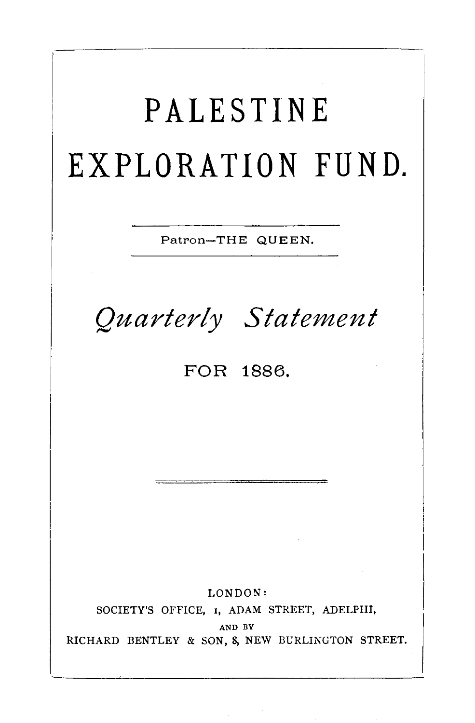## **PALESTINE EXPLORATION FUND.**  Patron-THE QUEEN. *Quarterly Statement*  FOR 1886. LONDON: SOCIETY'S OFFICE, 1, ADAM STREET, ADELPHI, AND BY RICHARD BENTLEY & SON, 8, NEW BURLINGTON STREET.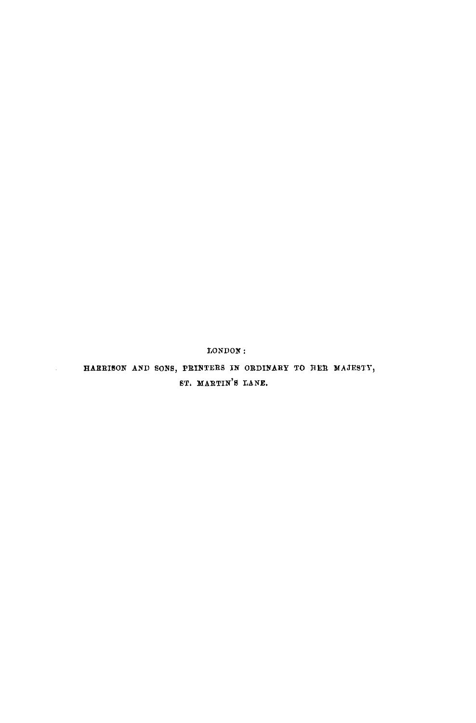J,ONDON:

 $\mathcal{L}^{(1)}$ 

HARRISON AND SONS, PRINTERS IN ORDINARY TO HER MAJESTY, ST. MARTIN'S LANE.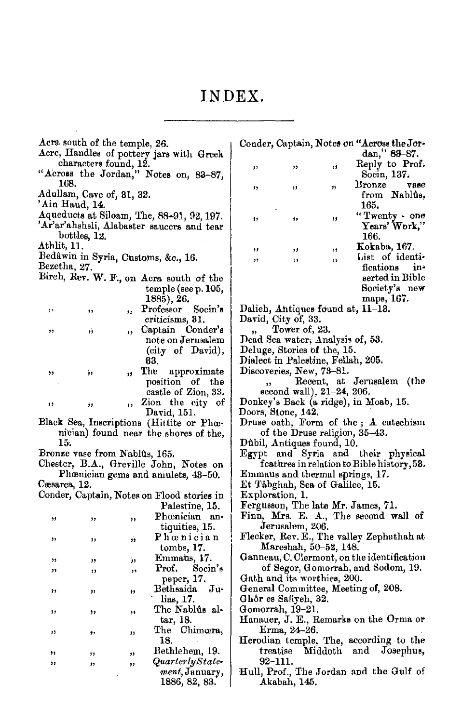| Acra south of the temple, 26.                                  |              |         |                                      | Conder, Captain, Notes on "Across the Jor-                  |                               |         |                                             |
|----------------------------------------------------------------|--------------|---------|--------------------------------------|-------------------------------------------------------------|-------------------------------|---------|---------------------------------------------|
| Acre, Handles of pottery jars with Greek                       |              |         |                                      |                                                             |                               |         | dan," $83-87$ .                             |
| characters found, 12.<br>"Across the Jordan," Notes on, 83-87, |              |         |                                      | $\mathbf{H}$                                                | ,,                            | 39      | Reply to Prof.<br>Socin, 137.               |
| 168.                                                           |              |         |                                      | ,,                                                          | .,                            | 95      | Bronze<br>таве                              |
| Adullam, Cave of, 31, 32.<br>'Ain Haud, 14.                    |              |         |                                      |                                                             |                               |         | from Nablûs,<br>165.                        |
| Aqueducts at Siloam, The, 88-91, 92, 197.                      |              |         |                                      |                                                             |                               |         | "Twenty - one                               |
| 'Ar'ar'ahshsli, Alabaster saucers and tear                     |              |         |                                      | ,,                                                          | ,,                            | Ħ       | Years' Work,"                               |
|                                                                | bottles, 12. |         |                                      |                                                             |                               |         | 166.                                        |
| Athlit, 11.                                                    |              |         |                                      | ,,                                                          | ,,                            | 11      | Kokaba, 167.                                |
| Bedâwin in Syria, Customs, &c., 16.                            |              |         |                                      | ,,                                                          | ,,                            | 15      | List of identi-                             |
| Bezetha, 27.                                                   |              |         |                                      |                                                             |                               |         | fications<br>in-<br>serted in Bible         |
| Birch, Rev. W. F., on Acra south of the                        |              |         |                                      |                                                             |                               |         | Society's new                               |
|                                                                |              |         | temple (see p. 105,<br>1885), 26.    |                                                             |                               |         | maps, 167.                                  |
| ,,                                                             |              |         | Professor<br>Socin's                 |                                                             |                               |         | Dalieh, Antiques found at, 11-13.           |
|                                                                | ,,           | ,,      | criticisms, 31.                      | David, City of, 33.                                         |                               |         |                                             |
| $^{\prime}$                                                    | ñ            | $\cdot$ | Captain Conder's                     | Tower of, 23.<br>$11 -$                                     |                               |         |                                             |
|                                                                |              |         | note on Jerusalem                    | Dead Sea water, Analysis of, 53.                            |                               |         |                                             |
|                                                                |              |         | (city of David),                     | Deluge, Stories of the, 15.                                 |                               |         |                                             |
|                                                                |              |         | 83.                                  | Dialect in Palestine, Fellah, 205.                          |                               |         |                                             |
| ,,                                                             | و في         | ,,      | The<br>approximate                   | Discoveries, New, 73-81.<br>Recent, at Jerusalem (the       |                               |         |                                             |
|                                                                |              |         | position of the                      | $\ddot{\phantom{a}}$                                        |                               |         |                                             |
|                                                                |              |         | castle of Zion, 33.                  |                                                             | second wall), 21-24, 206.     |         |                                             |
| ,,                                                             | ,,           | ,,      | Zion the city of<br>David, 151.      | Donkey's Back (a ridge), in Moab, 15.<br>Doors, Stone, 142. |                               |         |                                             |
| Black Sea, Inscriptions (Hittite or Pho-                       |              |         |                                      | Druse oath, Form of the; $\Lambda$ catechism                |                               |         |                                             |
| nician) found near the shores of the,                          |              |         |                                      |                                                             | of the Druse religion, 35–43. |         |                                             |
| 15.                                                            |              |         |                                      | Dûbil, Antiques found, 10.                                  |                               |         |                                             |
| Bronze vase from Nablûs, 165.                                  |              |         |                                      | Egypt and Syria and their physical                          |                               |         |                                             |
| Chester, B.A., Greville John, Notes on                         |              |         |                                      | features in relation to Bible history, 53.                  |                               |         |                                             |
| Phœnician gems and amulets, 43-50.                             |              |         |                                      | Emmaus and thermal springs, 17.                             |                               |         |                                             |
| Cæsarea, 12.                                                   |              |         |                                      | Et Tâbghah, Sea of Galilee, 15.                             |                               |         |                                             |
| Conder, Captain, Notes on Flood stories in<br>Palestine, 15.   |              |         |                                      | Exploration, 1.<br>Fergusson, The late Mr. James, 71.       |                               |         |                                             |
|                                                                |              |         | Phœnician an-                        |                                                             |                               |         | Finn, Mrs. E. A., The second wall of        |
| ,,                                                             | ,,           | ,,      | tiquities, 15.                       |                                                             | Jerusalem, 206.               |         |                                             |
| ,,                                                             | ,,           | ۆر      | Phœnician                            |                                                             |                               |         | Flecker, Rev. E., The valley Zephathah at   |
|                                                                |              |         | tombs, 17.                           |                                                             | Mareshah, 50-52, 148.         |         |                                             |
| ,,                                                             | ,,           | رز      | Emmaus, 17.                          |                                                             |                               |         | Ganneau, C. Clermont, on the identification |
| $^{\prime}$                                                    | ,,           | ż١      | Prof.<br>Socin's                     |                                                             |                               |         | of Segor, Gomorrah, and Sodom, 19.          |
|                                                                |              |         | paper, 17.                           |                                                             | Gath and its worthies, 200.   |         |                                             |
| ۰,                                                             | ,,           | ,,      | Bethsaida<br>Ju-                     |                                                             |                               |         | General Committee, Meeting of, 208.         |
|                                                                |              |         | lias, 17.                            |                                                             | Ghôr es Safiyeh, 32.          |         |                                             |
| ,,                                                             | ,,           | ,,      | The Nablûs al-                       |                                                             | Gomorrah, 19–21.              |         |                                             |
|                                                                |              |         | tar, 18.                             |                                                             |                               |         | Hanauer, J. E., Remarks on the Orma or      |
| ,,                                                             | ,,           | ,,      | The Chimcera,                        |                                                             | Erma, 24-26.                  |         |                                             |
|                                                                |              |         | 18.                                  |                                                             |                               |         | Herodian temple, The, according to the      |
| ,,                                                             | ,            | ,,      | Bethlehem, 19.                       | treatise<br>$92 - 111.$                                     |                               | Middoth | and<br>Josephus,                            |
| ,,                                                             | ,,           | ,,      | $Quarterly State-$<br>ment, January, |                                                             |                               |         | Hull, Prof., The Jordan and the Gulf of     |
|                                                                |              |         | 1886, 82, 83.                        |                                                             | Akabah, 145.                  |         |                                             |